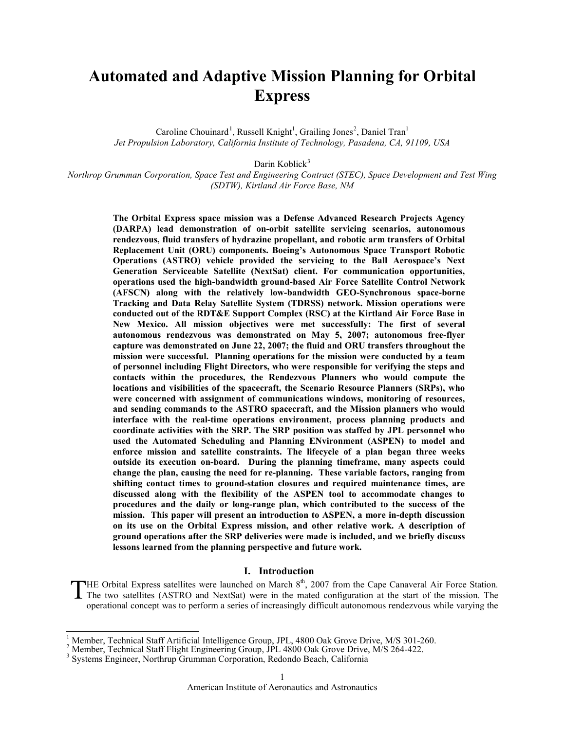# **Automated and Adaptive Mission Planning for Orbital Express**

Caroline Chouinard<sup>[1](#page-0-0)</sup>, Russell Knight<sup>1</sup>, Grailing Jones<sup>[2](#page-0-1)</sup>, Daniel Tran<sup>1</sup> *Jet Propulsion Laboratory, California Institute of Technology, Pasadena, CA, 91109, USA*

Darin Koblick<sup>[3](#page-0-2)</sup>

*Northrop Grumman Corporation, Space Test and Engineering Contract (STEC), Space Development and Test Wing (SDTW), Kirtland Air Force Base, NM*

> **The Orbital Express space mission was a Defense Advanced Research Projects Agency (DARPA) lead demonstration of on-orbit satellite servicing scenarios, autonomous rendezvous, fluid transfers of hydrazine propellant, and robotic arm transfers of Orbital Replacement Unit (ORU) components. Boeing's Autonomous Space Transport Robotic Operations (ASTRO) vehicle provided the servicing to the Ball Aerospace's Next Generation Serviceable Satellite (NextSat) client. For communication opportunities, operations used the high-bandwidth ground-based Air Force Satellite Control Network (AFSCN) along with the relatively low-bandwidth GEO-Synchronous space-borne Tracking and Data Relay Satellite System (TDRSS) network. Mission operations were conducted out of the RDT&E Support Complex (RSC) at the Kirtland Air Force Base in New Mexico. All mission objectives were met successfully: The first of several autonomous rendezvous was demonstrated on May 5, 2007; autonomous free-flyer capture was demonstrated on June 22, 2007; the fluid and ORU transfers throughout the mission were successful. Planning operations for the mission were conducted by a team of personnel including Flight Directors, who were responsible for verifying the steps and contacts within the procedures, the Rendezvous Planners who would compute the locations and visibilities of the spacecraft, the Scenario Resource Planners (SRPs), who were concerned with assignment of communications windows, monitoring of resources, and sending commands to the ASTRO spacecraft, and the Mission planners who would interface with the real-time operations environment, process planning products and coordinate activities with the SRP. The SRP position was staffed by JPL personnel who used the Automated Scheduling and Planning ENvironment (ASPEN) to model and enforce mission and satellite constraints. The lifecycle of a plan began three weeks outside its execution on-board. During the planning timeframe, many aspects could change the plan, causing the need for re-planning. These variable factors, ranging from shifting contact times to ground-station closures and required maintenance times, are discussed along with the flexibility of the ASPEN tool to accommodate changes to procedures and the daily or long-range plan, which contributed to the success of the mission. This paper will present an introduction to ASPEN, a more in-depth discussion on its use on the Orbital Express mission, and other relative work. A description of ground operations after the SRP deliveries were made is included, and we briefly discuss lessons learned from the planning perspective and future work.**

#### **I. Introduction**

HE Orbital Express satellites were launched on March  $8<sup>th</sup>$ , 2007 from the Cape Canaveral Air Force Station. THE Orbital Express satellites were launched on March  $8<sup>th</sup>$ , 2007 from the Cape Canaveral Air Force Station.<br>The two satellites (ASTRO and NextSat) were in the mated configuration at the start of the mission. The app operational concept was to perform a series of increasingly difficult autonomous rendezvous while varying the

 $\overline{\phantom{a}}$ 

<span id="page-0-1"></span><span id="page-0-0"></span><sup>&</sup>lt;sup>1</sup> Member, Technical Staff Artificial Intelligence Group, JPL, 4800 Oak Grove Drive, M/S 301-260.<br><sup>2</sup> Member, Technical Staff Flight Engineering Group, JPL 4800 Oak Grove Drive, M/S 264-422.<br><sup>3</sup> Systems Engineer, Northru

<span id="page-0-2"></span>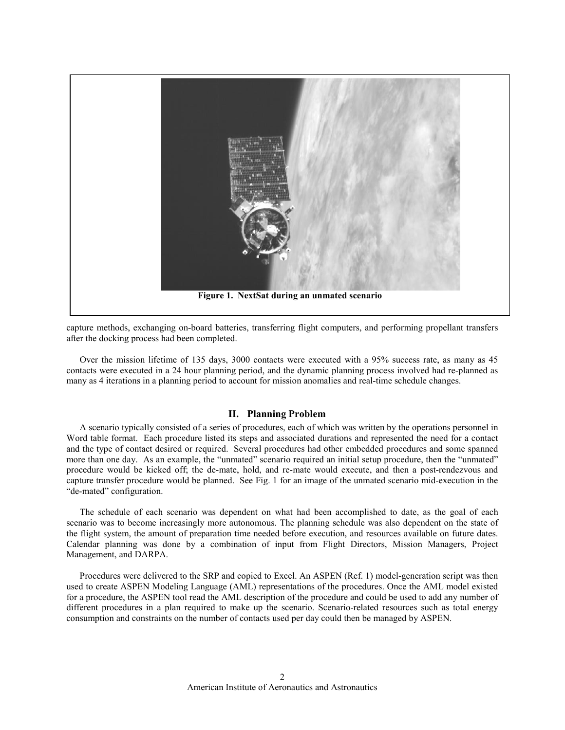

capture methods, exchanging on-board batteries, transferring flight computers, and performing propellant transfers after the docking process had been completed.

Over the mission lifetime of 135 days, 3000 contacts were executed with a 95% success rate, as many as 45 contacts were executed in a 24 hour planning period, and the dynamic planning process involved had re-planned as many as 4 iterations in a planning period to account for mission anomalies and real-time schedule changes.

#### **II. Planning Problem**

A scenario typically consisted of a series of procedures, each of which was written by the operations personnel in Word table format. Each procedure listed its steps and associated durations and represented the need for a contact and the type of contact desired or required. Several procedures had other embedded procedures and some spanned more than one day. As an example, the "unmated" scenario required an initial setup procedure, then the "unmated" procedure would be kicked off; the de-mate, hold, and re-mate would execute, and then a post-rendezvous and capture transfer procedure would be planned. See Fig. 1 for an image of the unmated scenario mid-execution in the "de-mated" configuration.

The schedule of each scenario was dependent on what had been accomplished to date, as the goal of each scenario was to become increasingly more autonomous. The planning schedule was also dependent on the state of the flight system, the amount of preparation time needed before execution, and resources available on future dates. Calendar planning was done by a combination of input from Flight Directors, Mission Managers, Project Management, and DARPA.

Procedures were delivered to the SRP and copied to Excel. An ASPEN (Ref. 1) model-generation script was then used to create ASPEN Modeling Language (AML) representations of the procedures. Once the AML model existed for a procedure, the ASPEN tool read the AML description of the procedure and could be used to add any number of different procedures in a plan required to make up the scenario. Scenario-related resources such as total energy consumption and constraints on the number of contacts used per day could then be managed by ASPEN.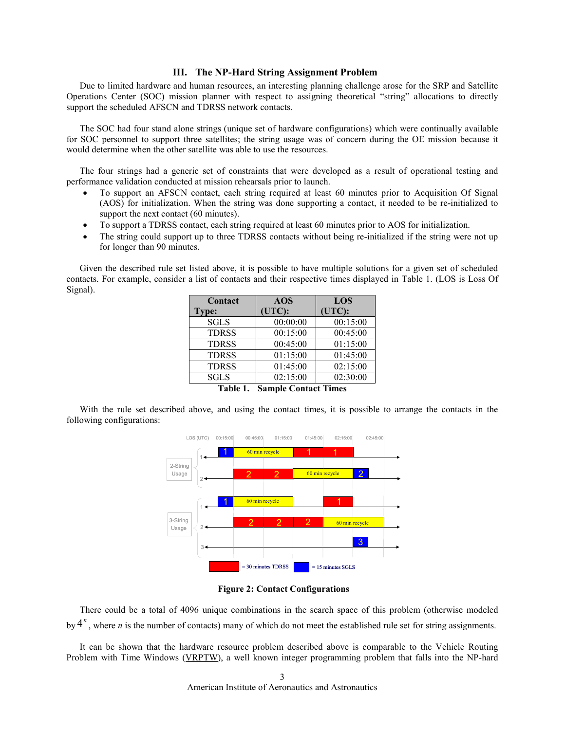#### **III. The NP-Hard String Assignment Problem**

Due to limited hardware and human resources, an interesting planning challenge arose for the SRP and Satellite Operations Center (SOC) mission planner with respect to assigning theoretical "string" allocations to directly support the scheduled AFSCN and TDRSS network contacts.

The SOC had four stand alone strings (unique set of hardware configurations) which were continually available for SOC personnel to support three satellites; the string usage was of concern during the OE mission because it would determine when the other satellite was able to use the resources.

The four strings had a generic set of constraints that were developed as a result of operational testing and performance validation conducted at mission rehearsals prior to launch.

- To support an AFSCN contact, each string required at least 60 minutes prior to Acquisition Of Signal (AOS) for initialization. When the string was done supporting a contact, it needed to be re-initialized to support the next contact (60 minutes).
- To support a TDRSS contact, each string required at least 60 minutes prior to AOS for initialization.
- The string could support up to three TDRSS contacts without being re-initialized if the string were not up for longer than 90 minutes.

Given the described rule set listed above, it is possible to have multiple solutions for a given set of scheduled contacts. For example, consider a list of contacts and their respective times displayed in Table 1. (LOS is Loss Of Signal).

| Contact      | <b>AOS</b>                       | LOS      |
|--------------|----------------------------------|----------|
| <b>Type:</b> | (UTC):                           | (UTC):   |
| <b>SGLS</b>  | 00:00:00                         | 00:15:00 |
| <b>TDRSS</b> | 00:15:00                         | 00:45:00 |
| <b>TDRSS</b> | 00:45:00                         | 01:15:00 |
| <b>TDRSS</b> | 01:15:00                         | 01:45:00 |
| <b>TDRSS</b> | 01:45:00                         | 02:15:00 |
| <b>SGLS</b>  | 02:15:00                         | 02:30:00 |
|              | Ë<br>$\sim$ $\sim$ $\sim$ $\sim$ |          |

**Table 1. Sample Contact Times**

With the rule set described above, and using the contact times, it is possible to arrange the contacts in the following configurations:



**Figure 2: Contact Configurations**

There could be a total of 4096 unique combinations in the search space of this problem (otherwise modeled by  $4^n$ , where *n* is the number of contacts) many of which do not meet the established rule set for string assignments.

It can be shown that the hardware resource problem described above is comparable to the Vehicle Routing Problem with Time Windows [\(VRPTW\)](http://www.idsia.ch/%7Emonaldo/vrp.html%23Problem), a well known integer programming problem that falls into the NP-hard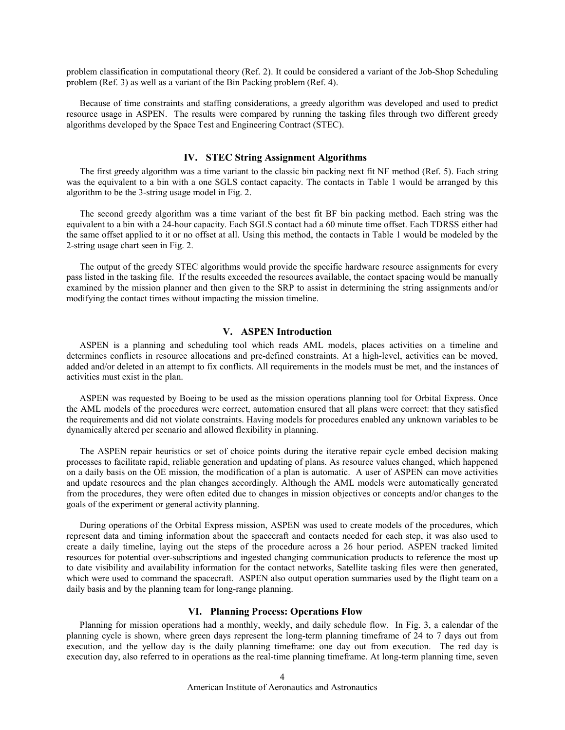problem classification in computational theory (Ref. 2). It could be considered a variant of the Job-Shop Scheduling problem (Ref. 3) as well as a variant of the Bin Packing problem (Ref. 4).

Because of time constraints and staffing considerations, a greedy algorithm was developed and used to predict resource usage in ASPEN. The results were compared by running the tasking files through two different greedy algorithms developed by the Space Test and Engineering Contract (STEC).

## **IV. STEC String Assignment Algorithms**

The first greedy algorithm was a time variant to the classic bin packing next fit NF method (Ref. 5). Each string was the equivalent to a bin with a one SGLS contact capacity. The contacts in Table 1 would be arranged by this algorithm to be the 3-string usage model in Fig. 2.

The second greedy algorithm was a time variant of the best fit BF bin packing method. Each string was the equivalent to a bin with a 24-hour capacity. Each SGLS contact had a 60 minute time offset. Each TDRSS either had the same offset applied to it or no offset at all. Using this method, the contacts in Table 1 would be modeled by the 2-string usage chart seen in Fig. 2.

The output of the greedy STEC algorithms would provide the specific hardware resource assignments for every pass listed in the tasking file. If the results exceeded the resources available, the contact spacing would be manually examined by the mission planner and then given to the SRP to assist in determining the string assignments and/or modifying the contact times without impacting the mission timeline.

# **V. ASPEN Introduction**

ASPEN is a planning and scheduling tool which reads AML models, places activities on a timeline and determines conflicts in resource allocations and pre-defined constraints. At a high-level, activities can be moved, added and/or deleted in an attempt to fix conflicts. All requirements in the models must be met, and the instances of activities must exist in the plan.

ASPEN was requested by Boeing to be used as the mission operations planning tool for Orbital Express. Once the AML models of the procedures were correct, automation ensured that all plans were correct: that they satisfied the requirements and did not violate constraints. Having models for procedures enabled any unknown variables to be dynamically altered per scenario and allowed flexibility in planning.

The ASPEN repair heuristics or set of choice points during the iterative repair cycle embed decision making processes to facilitate rapid, reliable generation and updating of plans. As resource values changed, which happened on a daily basis on the OE mission, the modification of a plan is automatic. A user of ASPEN can move activities and update resources and the plan changes accordingly. Although the AML models were automatically generated from the procedures, they were often edited due to changes in mission objectives or concepts and/or changes to the goals of the experiment or general activity planning.

During operations of the Orbital Express mission, ASPEN was used to create models of the procedures, which represent data and timing information about the spacecraft and contacts needed for each step, it was also used to create a daily timeline, laying out the steps of the procedure across a 26 hour period. ASPEN tracked limited resources for potential over-subscriptions and ingested changing communication products to reference the most up to date visibility and availability information for the contact networks, Satellite tasking files were then generated, which were used to command the spacecraft. ASPEN also output operation summaries used by the flight team on a daily basis and by the planning team for long-range planning.

## **VI. Planning Process: Operations Flow**

Planning for mission operations had a monthly, weekly, and daily schedule flow. In Fig. 3, a calendar of the planning cycle is shown, where green days represent the long-term planning timeframe of 24 to 7 days out from execution, and the yellow day is the daily planning timeframe: one day out from execution. The red day is execution day, also referred to in operations as the real-time planning timeframe. At long-term planning time, seven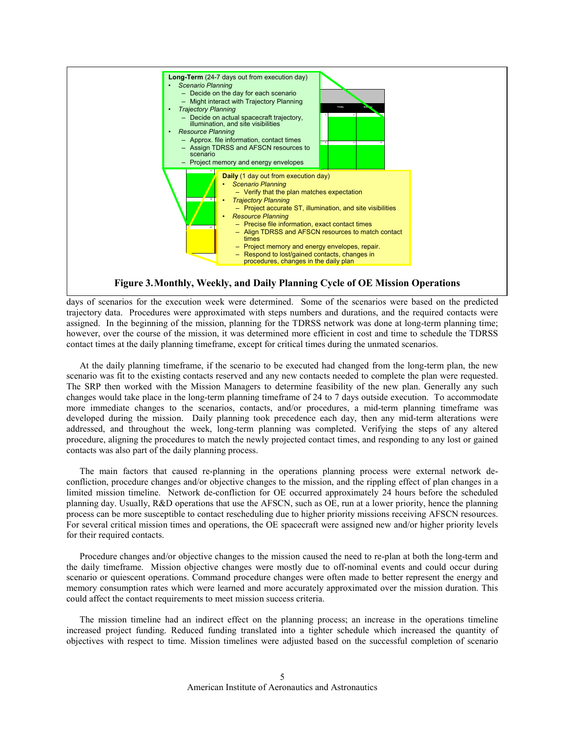

days of scenarios for the execution week were determined. Some of the scenarios were based on the predicted trajectory data. Procedures were approximated with steps numbers and durations, and the required contacts were assigned. In the beginning of the mission, planning for the TDRSS network was done at long-term planning time; however, over the course of the mission, it was determined more efficient in cost and time to schedule the TDRSS contact times at the daily planning timeframe, except for critical times during the unmated scenarios.

At the daily planning timeframe, if the scenario to be executed had changed from the long-term plan, the new scenario was fit to the existing contacts reserved and any new contacts needed to complete the plan were requested. The SRP then worked with the Mission Managers to determine feasibility of the new plan. Generally any such changes would take place in the long-term planning timeframe of 24 to 7 days outside execution. To accommodate more immediate changes to the scenarios, contacts, and/or procedures, a mid-term planning timeframe was developed during the mission. Daily planning took precedence each day, then any mid-term alterations were addressed, and throughout the week, long-term planning was completed. Verifying the steps of any altered procedure, aligning the procedures to match the newly projected contact times, and responding to any lost or gained contacts was also part of the daily planning process.

The main factors that caused re-planning in the operations planning process were external network deconfliction, procedure changes and/or objective changes to the mission, and the rippling effect of plan changes in a limited mission timeline. Network de-confliction for OE occurred approximately 24 hours before the scheduled planning day. Usually, R&D operations that use the AFSCN, such as OE, run at a lower priority, hence the planning process can be more susceptible to contact rescheduling due to higher priority missions receiving AFSCN resources. For several critical mission times and operations, the OE spacecraft were assigned new and/or higher priority levels for their required contacts.

Procedure changes and/or objective changes to the mission caused the need to re-plan at both the long-term and the daily timeframe. Mission objective changes were mostly due to off-nominal events and could occur during scenario or quiescent operations. Command procedure changes were often made to better represent the energy and memory consumption rates which were learned and more accurately approximated over the mission duration. This could affect the contact requirements to meet mission success criteria.

The mission timeline had an indirect effect on the planning process; an increase in the operations timeline increased project funding. Reduced funding translated into a tighter schedule which increased the quantity of objectives with respect to time. Mission timelines were adjusted based on the successful completion of scenario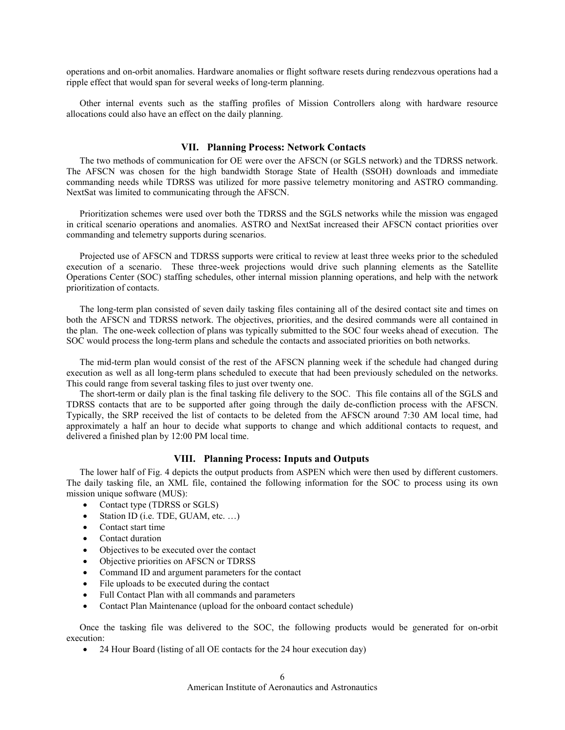operations and on-orbit anomalies. Hardware anomalies or flight software resets during rendezvous operations had a ripple effect that would span for several weeks of long-term planning.

Other internal events such as the staffing profiles of Mission Controllers along with hardware resource allocations could also have an effect on the daily planning.

# **VII. Planning Process: Network Contacts**

The two methods of communication for OE were over the AFSCN (or SGLS network) and the TDRSS network. The AFSCN was chosen for the high bandwidth Storage State of Health (SSOH) downloads and immediate commanding needs while TDRSS was utilized for more passive telemetry monitoring and ASTRO commanding. NextSat was limited to communicating through the AFSCN.

Prioritization schemes were used over both the TDRSS and the SGLS networks while the mission was engaged in critical scenario operations and anomalies. ASTRO and NextSat increased their AFSCN contact priorities over commanding and telemetry supports during scenarios.

Projected use of AFSCN and TDRSS supports were critical to review at least three weeks prior to the scheduled execution of a scenario. These three-week projections would drive such planning elements as the Satellite Operations Center (SOC) staffing schedules, other internal mission planning operations, and help with the network prioritization of contacts.

The long-term plan consisted of seven daily tasking files containing all of the desired contact site and times on both the AFSCN and TDRSS network. The objectives, priorities, and the desired commands were all contained in the plan. The one-week collection of plans was typically submitted to the SOC four weeks ahead of execution. The SOC would process the long-term plans and schedule the contacts and associated priorities on both networks.

The mid-term plan would consist of the rest of the AFSCN planning week if the schedule had changed during execution as well as all long-term plans scheduled to execute that had been previously scheduled on the networks. This could range from several tasking files to just over twenty one.

The short-term or daily plan is the final tasking file delivery to the SOC. This file contains all of the SGLS and TDRSS contacts that are to be supported after going through the daily de-confliction process with the AFSCN. Typically, the SRP received the list of contacts to be deleted from the AFSCN around 7:30 AM local time, had approximately a half an hour to decide what supports to change and which additional contacts to request, and delivered a finished plan by 12:00 PM local time.

# **VIII. Planning Process: Inputs and Outputs**

The lower half of Fig. 4 depicts the output products from ASPEN which were then used by different customers. The daily tasking file, an XML file, contained the following information for the SOC to process using its own mission unique software (MUS):

- Contact type (TDRSS or SGLS)
- Station ID (i.e. TDE, GUAM, etc. ...)
- Contact start time
- Contact duration
- Objectives to be executed over the contact
- Objective priorities on AFSCN or TDRSS
- Command ID and argument parameters for the contact
- File uploads to be executed during the contact
- Full Contact Plan with all commands and parameters
- Contact Plan Maintenance (upload for the onboard contact schedule)

Once the tasking file was delivered to the SOC, the following products would be generated for on-orbit execution:

• 24 Hour Board (listing of all OE contacts for the 24 hour execution day)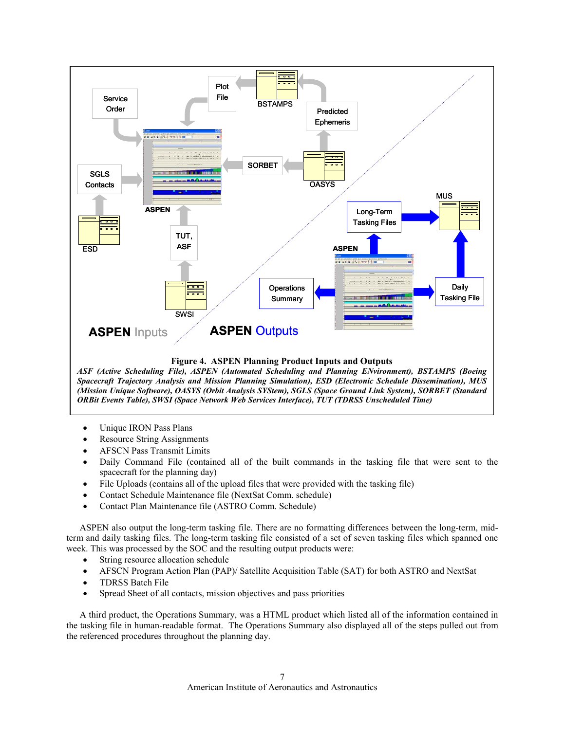

*ASF (Active Scheduling File), ASPEN (Automated Scheduling and Planning ENvironment), BSTAMPS (Boeing Spacecraft Trajectory Analysis and Mission Planning Simulation), ESD (Electronic Schedule Dissemination), MUS (Mission Unique Software), OASYS (Orbit Analysis SYStem), SGLS (Space Ground Link System), SORBET (Standard ORBit Events Table), SWSI (Space Network Web Services Interface), TUT (TDRSS Unscheduled Time)*

- Unique IRON Pass Plans
- Resource String Assignments
- AFSCN Pass Transmit Limits
- Daily Command File (contained all of the built commands in the tasking file that were sent to the spacecraft for the planning day)
- File Uploads (contains all of the upload files that were provided with the tasking file)
- Contact Schedule Maintenance file (NextSat Comm. schedule)
- Contact Plan Maintenance file (ASTRO Comm. Schedule)

ASPEN also output the long-term tasking file. There are no formatting differences between the long-term, midterm and daily tasking files. The long-term tasking file consisted of a set of seven tasking files which spanned one week. This was processed by the SOC and the resulting output products were:

- String resource allocation schedule
- AFSCN Program Action Plan (PAP)/ Satellite Acquisition Table (SAT) for both ASTRO and NextSat
- TDRSS Batch File
- Spread Sheet of all contacts, mission objectives and pass priorities

A third product, the Operations Summary, was a HTML product which listed all of the information contained in the tasking file in human-readable format. The Operations Summary also displayed all of the steps pulled out from the referenced procedures throughout the planning day.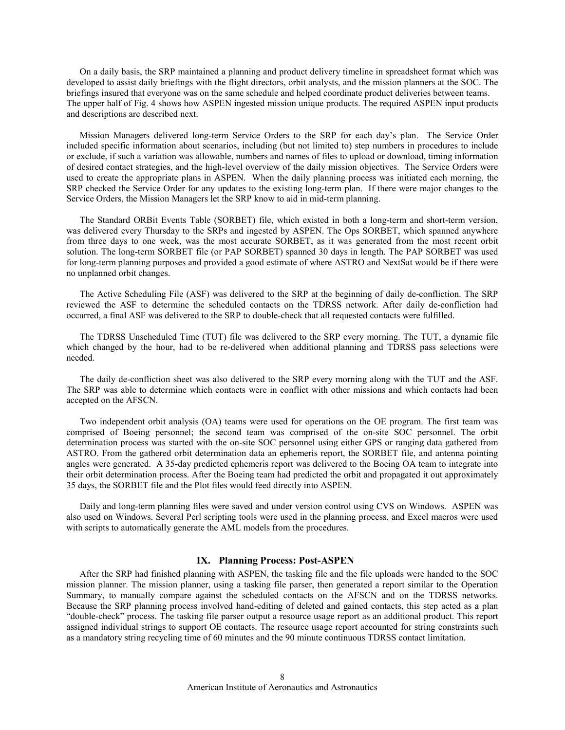On a daily basis, the SRP maintained a planning and product delivery timeline in spreadsheet format which was developed to assist daily briefings with the flight directors, orbit analysts, and the mission planners at the SOC. The briefings insured that everyone was on the same schedule and helped coordinate product deliveries between teams. The upper half of Fig. 4 shows how ASPEN ingested mission unique products. The required ASPEN input products and descriptions are described next.

Mission Managers delivered long-term Service Orders to the SRP for each day's plan. The Service Order included specific information about scenarios, including (but not limited to) step numbers in procedures to include or exclude, if such a variation was allowable, numbers and names of files to upload or download, timing information of desired contact strategies, and the high-level overview of the daily mission objectives. The Service Orders were used to create the appropriate plans in ASPEN. When the daily planning process was initiated each morning, the SRP checked the Service Order for any updates to the existing long-term plan. If there were major changes to the Service Orders, the Mission Managers let the SRP know to aid in mid-term planning.

The Standard ORBit Events Table (SORBET) file, which existed in both a long-term and short-term version, was delivered every Thursday to the SRPs and ingested by ASPEN. The Ops SORBET, which spanned anywhere from three days to one week, was the most accurate SORBET, as it was generated from the most recent orbit solution. The long-term SORBET file (or PAP SORBET) spanned 30 days in length. The PAP SORBET was used for long-term planning purposes and provided a good estimate of where ASTRO and NextSat would be if there were no unplanned orbit changes.

The Active Scheduling File (ASF) was delivered to the SRP at the beginning of daily de-confliction. The SRP reviewed the ASF to determine the scheduled contacts on the TDRSS network. After daily de-confliction had occurred, a final ASF was delivered to the SRP to double-check that all requested contacts were fulfilled.

The TDRSS Unscheduled Time (TUT) file was delivered to the SRP every morning. The TUT, a dynamic file which changed by the hour, had to be re-delivered when additional planning and TDRSS pass selections were needed.

The daily de-confliction sheet was also delivered to the SRP every morning along with the TUT and the ASF. The SRP was able to determine which contacts were in conflict with other missions and which contacts had been accepted on the AFSCN.

Two independent orbit analysis (OA) teams were used for operations on the OE program. The first team was comprised of Boeing personnel; the second team was comprised of the on-site SOC personnel. The orbit determination process was started with the on-site SOC personnel using either GPS or ranging data gathered from ASTRO. From the gathered orbit determination data an ephemeris report, the SORBET file, and antenna pointing angles were generated. A 35-day predicted ephemeris report was delivered to the Boeing OA team to integrate into their orbit determination process. After the Boeing team had predicted the orbit and propagated it out approximately 35 days, the SORBET file and the Plot files would feed directly into ASPEN.

Daily and long-term planning files were saved and under version control using CVS on Windows. ASPEN was also used on Windows. Several Perl scripting tools were used in the planning process, and Excel macros were used with scripts to automatically generate the AML models from the procedures.

# **IX. Planning Process: Post-ASPEN**

After the SRP had finished planning with ASPEN, the tasking file and the file uploads were handed to the SOC mission planner. The mission planner, using a tasking file parser, then generated a report similar to the Operation Summary, to manually compare against the scheduled contacts on the AFSCN and on the TDRSS networks. Because the SRP planning process involved hand-editing of deleted and gained contacts, this step acted as a plan "double-check" process. The tasking file parser output a resource usage report as an additional product. This report assigned individual strings to support OE contacts. The resource usage report accounted for string constraints such as a mandatory string recycling time of 60 minutes and the 90 minute continuous TDRSS contact limitation.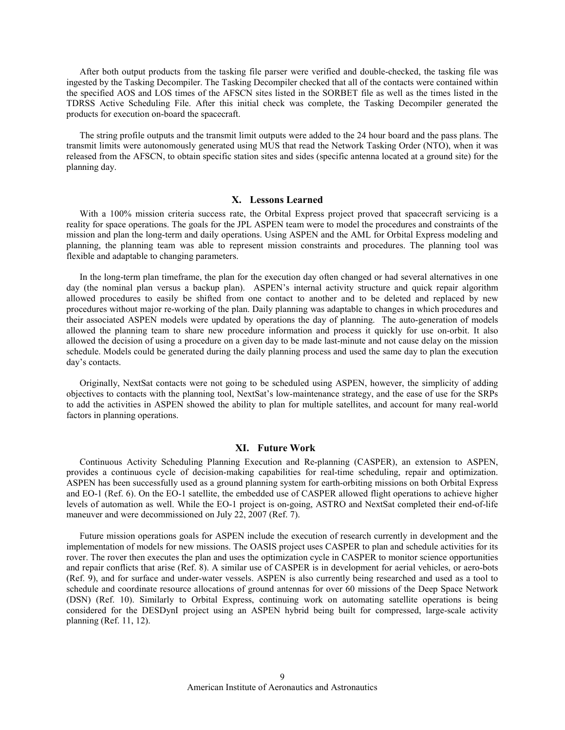After both output products from the tasking file parser were verified and double-checked, the tasking file was ingested by the Tasking Decompiler. The Tasking Decompiler checked that all of the contacts were contained within the specified AOS and LOS times of the AFSCN sites listed in the SORBET file as well as the times listed in the TDRSS Active Scheduling File. After this initial check was complete, the Tasking Decompiler generated the products for execution on-board the spacecraft.

The string profile outputs and the transmit limit outputs were added to the 24 hour board and the pass plans. The transmit limits were autonomously generated using MUS that read the Network Tasking Order (NTO), when it was released from the AFSCN, to obtain specific station sites and sides (specific antenna located at a ground site) for the planning day.

#### **X. Lessons Learned**

With a 100% mission criteria success rate, the Orbital Express project proved that spacecraft servicing is a reality for space operations. The goals for the JPL ASPEN team were to model the procedures and constraints of the mission and plan the long-term and daily operations. Using ASPEN and the AML for Orbital Express modeling and planning, the planning team was able to represent mission constraints and procedures. The planning tool was flexible and adaptable to changing parameters.

In the long-term plan timeframe, the plan for the execution day often changed or had several alternatives in one day (the nominal plan versus a backup plan). ASPEN's internal activity structure and quick repair algorithm allowed procedures to easily be shifted from one contact to another and to be deleted and replaced by new procedures without major re-working of the plan. Daily planning was adaptable to changes in which procedures and their associated ASPEN models were updated by operations the day of planning. The auto-generation of models allowed the planning team to share new procedure information and process it quickly for use on-orbit. It also allowed the decision of using a procedure on a given day to be made last-minute and not cause delay on the mission schedule. Models could be generated during the daily planning process and used the same day to plan the execution day's contacts.

Originally, NextSat contacts were not going to be scheduled using ASPEN, however, the simplicity of adding objectives to contacts with the planning tool, NextSat's low-maintenance strategy, and the ease of use for the SRPs to add the activities in ASPEN showed the ability to plan for multiple satellites, and account for many real-world factors in planning operations.

#### **XI. Future Work**

Continuous Activity Scheduling Planning Execution and Re-planning (CASPER), an extension to ASPEN, provides a continuous cycle of decision-making capabilities for real-time scheduling, repair and optimization. ASPEN has been successfully used as a ground planning system for earth-orbiting missions on both Orbital Express and EO-1 (Ref. 6). On the EO-1 satellite, the embedded use of CASPER allowed flight operations to achieve higher levels of automation as well. While the EO-1 project is on-going, ASTRO and NextSat completed their end-of-life maneuver and were decommissioned on July 22, 2007 (Ref. 7).

Future mission operations goals for ASPEN include the execution of research currently in development and the implementation of models for new missions. The OASIS project uses CASPER to plan and schedule activities for its rover. The rover then executes the plan and uses the optimization cycle in CASPER to monitor science opportunities and repair conflicts that arise (Ref. 8). A similar use of CASPER is in development for aerial vehicles, or aero-bots (Ref. 9), and for surface and under-water vessels. ASPEN is also currently being researched and used as a tool to schedule and coordinate resource allocations of ground antennas for over 60 missions of the Deep Space Network (DSN) (Ref. 10). Similarly to Orbital Express, continuing work on automating satellite operations is being considered for the DESDynI project using an ASPEN hybrid being built for compressed, large-scale activity planning (Ref. 11, 12).